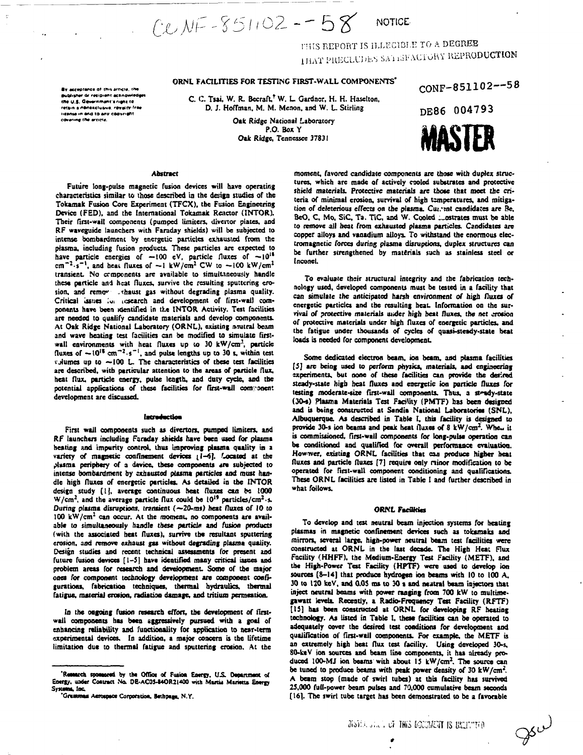$CUNF - 851102 - 58$ **NOTICE** 

THIS REPORT IS ILLEGIBLE TO A DEGREE THAT PRECEUDES SATISFACTORY REPRODUCTION

# ORNL FACILITIES FOR TESTING FIRST-WALL COMPONENTS'

C. C. Tsai, W. R. Becraft,<sup>†</sup> W. L. Gardner, H. H. Haselton, D. J. Hoffman, M. M. Menon, and W. L. Stirling

> Oak Ridge National Laboratory P.O. Box Y Oak Ridge, Tennessee 37831

DE86 004793 MASIFR

CONF-851102--58

## **Abstract**

By acceptance of this arricle, the ier dr resipient acknow

the U.S. Gevernment's right to retain a nonexclusive, revalty-free

IICONIA IN AND TO ANY COOVERITT covering the article.

Future long-pulse magnetic fusion devices will have operating characteristics similar to those described in the design studies of the Tokamak Fusion Core Experiment (TFCX), the Fusion Engineering Device (FED), and the International Tokamak Reactor (INTOR). Their first-wall components (pumped limiters, divertor plates, and RF waveguide launchers with Faraday shields) will be subjected to intense bombardment by energetic particles exhausted from the plasma, including fusion products. These particles are expected to have particle energies of  $-100$  eV, particle fluxes of  $-10^{18}$ <br>cm<sup>-2</sup>.s<sup>-1</sup>, and heat fluxes of  $-1$  kW/cm<sup>2</sup> CW to  $-100$  kW/cm<sup>2</sup> transient. No components are available to simultaneously handle these particle and heat fluxes, survive the resulting sputtering erosion, and remove exhaust gas without degrading plasma quality. Critical issues for research and development of first-wall components have been identified in the INTOR Activity. Test facilities are needed to qualify candidate materials and develop components. At Oak Ridge National Laboratory (ORNL), existing neutral beam and wave heating test facilities can be modified to simulate firstwall environments with heat fluxes up to 30 kW/cm<sup>3</sup>, particle fluxes of  $\sim 10^{18}$  cm<sup>-2</sup>.s<sup>-1</sup>, and pulse lengths up to 30 s, within test volumes up to ~100 L. The characteristics of these test facilities are described, with particular attention to the areas of particle flux, heat flux, particle energy, pulse length, and duty cycle, and the potential applications of these facilities for first-wall component development are discussed.

#### Introduction

First wall components such as divertors, pumped limiters, and RF launchers including Faraday shields have been used for plasma heating and impurity control, thus improving plasma quality in a variety of magnetic confinement devices (1-6). Located at the plasma periphery of a davice, these components are subjected to intense bombardment by exhausted plasma particles and must handle high fluxes of energetic particles. As detailed in the INTOR design study [1], average continuous heat fluxes can be 1000 W/cm<sup>2</sup>, and the average particle flux could be 10<sup>19</sup> particles/cm<sup>2</sup>.s. During plasma disruptions, transient (~20-ms) heat fluxes of 10 to 100 kW/cm<sup>2</sup> can occur. At the moment, no components are available to simultaneously handle these particle and fusion products (with the associated heat fluxes), survive the resultant sputtering crosion, and remove exhaust gas without degrading plasma quality. Design studies and recent technical assessments for present and future fusion devices [1-5] have identified many critical issues and problem areas for research and development. Some of the major ones for component technology development are component configurations, fabrication techniques, thermal hydraulics, thermal fatigue, material erosion, radiation damage, and tritium permeation.

In the ongoing fusion research effort, the development of firstwall components has been aggressively pursued with a goal of enhancing reliability and functionality for application to near-term experimental devices. In addition, a major concern is the lifetime limitation due to thermal fatigue and sputtering erosion. At the

moment, favored candidate components are those with duplex structures, which are made of actively cooled substrates and protective shield materials. Protective materials are those that meet the criteria of minimal erosion, survival of high temperatures, and mitigation of deleterious effects on the plasma. Cut, ent candidates are Re, BeO, C, Mo, SiC, Ta. TiC, and W. Cooled contrates must be able to remove all heat from exhausted plasma particles. Candidates are copper alloys and vanadium alloys. To withstand the enormous electromagnetic forces during plasma disruptions, duplex structures can be further strengthened by materials such as stainless steel or Inconel.

To evaluate their structural integrity and the fabrication technology used, developed components must be tested in a facility that can simulate the anticipated harsh environment of high fluxes of energetic particles and the resulting heat. Information on the survival of protective materials under high heat fluxes, the net crosion of protective materials under high fluxes of energetic particles, and the fatigue under thousands of cycles of quasi-steady-state heat loads is needed for component development.

Some dedicated electron beam, ion beam, and plasma facilities [5] are being used to perform physics, materials, and engineering experiments, but none of these facilities can provide the desired steady-state high heat fluxes and energetic ion particle fluxes for testing moderate-size first-wall components. Thus, a steady-state (30-s) Plasma Materials Test Facility (PMTF) has been designed and is being constructed at Sandia National Laboratories (SNL), Albuquerque. As described in Table I, this facility is designed to provide 30-s ion beams and peak heat fluxes of 8 kW/cm<sup>2</sup>. When it is commissioned, first-wall components for long-pulse operation can be conditioned and qualified for overall performance evaluation. Howaver, existing ORNL facilities that can produce higher heat fluxes and particle fluxes [7] require only minor modification to be operated for first-wall component conditioning and qualifications. These ORNL facilities are listed in Table I and further described in what follows.

#### **ORNL Facilities**

To develop and test neutral beam injection systems for heating plasmas in magnetic confinement devices such as tokamaks and mirrors, several large, high-power neutral beam test facilities were constructed at ORNL in the last decade. The High Heat Flux Facility (HHFF), the Medium-Energy Test Facility (METF), and the High-Power Test Facility (HPTF) were used to develop ion sources [8-14] that produce hydrogen ion beams with 10 to 100 A, 30 to 120 keV, and 0.05 ms to 30 s and neatral beam injectors that inject neutral beams with power ranging from 700 kW to multimegawatt levels. Recently, a Radio-Frequency Test Facility (RFTF) [15] has been constructed at ORNL for developing RF heating technology. As listed in Table I, these facilities can be operated to adequately cover the desired test conditions for development and qualification of first-wall components. For example, the METF is an extremely high heat flux test facility. Using developed 30-s, 80-keV ion sources and beam line components, it has already produced 100-MJ ion beams with about 15  $kW/cm^2$ . The source can be tuned to produce beams with peak power density of 30 kW/cm<sup>2</sup>. A beam stop (made of swirl tubes) at this facility has survived 25,000 full-power beam pulses and 70,000 cumulative beam seconds [16]. The swirl tube target has been demonstrated to be a favorable

 $\mathscr{P}^{\omega}$ 

<sup>&#</sup>x27;Research spossored by the Office of Fusion Energy, U.S. Department of Energy, under Contract No. DE-AC05-84OR21400 with Martin Marietts Energy Systems, Inc.

<sup>&#</sup>x27;Grummas Aerospace Corporation, Bethpage, N.Y.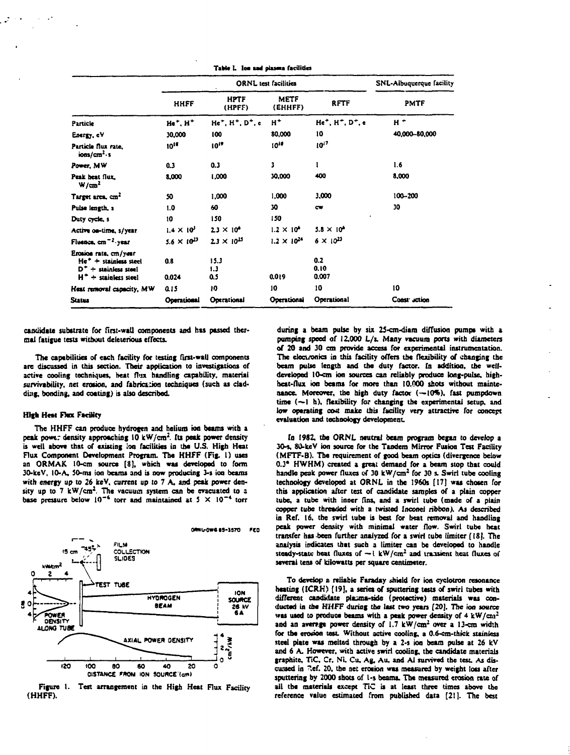|                                                                                                        |                      | SNL-Albuquerque facility |                        |                                                       |               |  |
|--------------------------------------------------------------------------------------------------------|----------------------|--------------------------|------------------------|-------------------------------------------------------|---------------|--|
|                                                                                                        | HHFF                 | <b>HPTF</b><br>(HPFF)    | <b>METF</b><br>(EHHFF) | <b>RFTF</b>                                           | PMTF          |  |
| Particle                                                                                               | $He+$ . $H+$         | $He+$ , $H+$ , $D+$ , e  | $H^+$                  | He <sup>+</sup> , H <sup>+</sup> , D <sup>+</sup> , e | $H +$         |  |
| Energy, eV                                                                                             | 30,000               | 100                      | 80,000                 | 10                                                    | 40,000-80,000 |  |
| Particle flux rate.<br>ions/cm <sup>2</sup> ·s                                                         | 1015                 | $10^{19}$                | 1010                   | $10^{17}$                                             |               |  |
| Power, MW                                                                                              | 0.3                  | 0.3                      | 3                      | 1                                                     | 1.6           |  |
| Peak heat flux.<br>W/cm <sup>2</sup>                                                                   | 8,000                | 1,000                    | 30,000                 | 400                                                   | 8,000         |  |
| Target area, cm <sup>2</sup>                                                                           | 50                   | 1,000                    | 1,000                  | 3,000                                                 | 100-200       |  |
| Pulse length, s                                                                                        | 1.0                  | 60                       | 30                     | cw                                                    | 30            |  |
| Duty cycle, s                                                                                          | 10                   | 150                      | 150                    |                                                       |               |  |
| Active on-time, s/year                                                                                 | $1.4 \times 10^{5}$  | $2.3 \times 10^4$        | $1.2 \times 10^4$      | $5.8 \times 10^4$                                     |               |  |
| Fluence, cm <sup>-2</sup> -year                                                                        | $5.6 \times 10^{23}$ | $23 \times 10^{25}$      | $1.2 \times 10^{24}$   | $6 \times 10^{23}$                                    |               |  |
| Erosion rate, cm/year<br>$He+ + stainless steel$<br>$D^+$ + stainless steel<br>$H^+$ + stainless steel | 0.8<br>0.024         | 15.3<br>1.3<br>0.5       | 0.019                  | 0.2<br>0.10<br>0.007                                  |               |  |
| Heat removal capacity, MW                                                                              | 0.15                 | 10                       | 10                     | 10                                                    | 10            |  |
| <b>Status</b>                                                                                          | Operational          | Operational              | Operational            | Operational                                           | Const action  |  |

Table I. for and olasma facilities

candidate substrate for first-wall components and has passed thermal fatigue tests without deleterious effects.

The capabilities of each facility for testing first-wall components are discussed in this section. Their application to investigations of active cooling techniques, heat flux handling capability, material survivability, net erosion, and fabrication techniques (such as cladding, bonding, and coating) is also described.

### **High Heat Fact Facility**

The HHFF can produce hydrogen and helium ion beams with a peak power density approaching 10 kW/cm<sup>2</sup>. Its peak power density is well above that of existing lon facilities in the U.S. High Heat Flux Component Development Program. The HHFF (Fig. 1) uses an ORMAK 10-cm source [8], which was developed to form 30-keV, 10-A, 50-ms ion beams and is now producing 3-s ion beams with energy up to 26 keV, current up to 7 A, and peak power density up to 7  $kW/cm<sup>2</sup>$ . The vacuum system can be evacuated to a base pressure below  $10^{-6}$  torr and maintained at 5  $\times$  10<sup>-4</sup> torr



Figure 1. Test arrangement in the High Heat Flux Facility (HHFF).

during a beam pulse by six 25-cm-diam diffusion pumps with a pumping speed of 12,000 L/s. Many vacuum ports with diameters of 20 and 30 cm provide access for experimental instrumentation. The electronics in this facility offers the flexibility of changing the beam pulse length and the duty factor. In addition, the welldeveloped 10-cm ion sources can reliably produce long-pulse, highheat-flux ion beams for more than 10,000 shots without maintenance. Moreover, the high duty factor (-10%), fast pumpdown time (-1 h), flexibility for changing the experimental setup, and low operating cost make this facility very attractive for concept evaluation and technology development.

In 1982, the ORNL neutral beam program began to develop a 30-s, 80-keV ion source for the Tandem Mirror Fusion Test Facility (MFTF-B). The requirement of good beam optics (divergence below 0.3° HWHM) created a great demand for a beam stop that could handle peak power fluxes of 30 kW/cm<sup>2</sup> for 30 s. Swirl tube cooling technology developed at ORNL in the 1960s [17] was chosen for this application after test of candidate samples of a plain copper tube. a tube with inner fins, and a swirl tube (made of a plain copper tube threaded with a twisted Inconel ribbon). As described in Ref. 16, the swirl tube is best for heat removal and handling peak power density with minimal water flow. Swirl tube heat transfer has been further analyzed for a swirl tube limiter [18]. The analysis indicates that such a limiter can be developed to handle steady-state heat fluxes of  $-i$  kW/cm<sup>2</sup> and transient heat fluxes of several tens of kilowatts per square centimeter.

To develop a reliable Faraday shield for ion cyclotron resonance heating (ICRH) [19], a series of sputtering tests of swirl tubes with different candidate plasma-side (protective) materials was conducted in the HHFF during the last two years [20]. The ion source was used to produce beams with a peak power density of 4 kW/cm<sup>2</sup> and an average power density of  $1.7 \, \text{kW/cm}^2$  over a 13-cm width for the erosion test. Without active cooling, a 0.6-cm-thick stainless steel plate was melted through by a 2-s ion beam pulse at 26 kV and 6 A. However, with active swirl cooling, the candidate materials graphite, TiC, Cr, Ni, Cu, Ag, Au, and Al survived the test. As discussed in Ref. 20, the net erosion was measured by weight loss after sputtering by 2000 shots of 1-s beams. The measured erosion rate of all the materials except TiC is at least three times above the reference value estimated from published data [21]. The best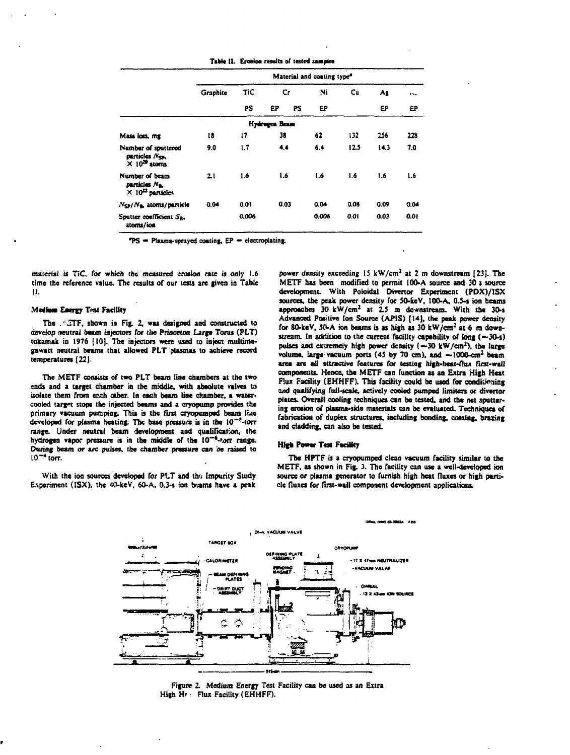|                                                                           | Material and coating type <sup>4</sup> |            |               |    |       |      |      |        |  |  |  |
|---------------------------------------------------------------------------|----------------------------------------|------------|---------------|----|-------|------|------|--------|--|--|--|
|                                                                           | Graphite                               | <b>TiC</b> | Cr            |    | Ni    | Cu   | Ag   | $\sim$ |  |  |  |
|                                                                           |                                        | PS         | EP            | PS | EP    |      | EP   | ËΡ     |  |  |  |
|                                                                           |                                        |            | Hydrogen Beam |    |       |      |      |        |  |  |  |
| Mass loss, mg                                                             | 18                                     | 17         | 38            |    | 62    | 132  | 256  | 228    |  |  |  |
| Number of sputtered<br>particles Nes.<br>$\times$ 10 <sup>29</sup> atoms  | 9.0                                    | 1.7        | 4.4           |    | 6.4   | 12.5 | 14.3 | 7.0    |  |  |  |
| Number of beam<br>particles N <sub>a.</sub><br>$\times 10^{22}$ particles | 21                                     | 1.6        | 1.6           |    | 1.6   | 1.6  | 1.6  | 1.6    |  |  |  |
| $N_{\rm SP}/N_{\rm B}$ , atoms/particle                                   | 0.04                                   | 0.01       | 0.03          |    | 0.04  | 0.08 | 0.09 | 0.04   |  |  |  |
| Sputter coefficient Sa.<br>atoms/ion                                      |                                        | 0.006      |               |    | 0.006 | 0.01 | 0.03 | 0.01   |  |  |  |

Table II. Erosion results of tested samples

"PS = Plasma-sprayed coating, EP = electroplating.

material is TiC, for which the measured erosion rate is only 1.6 time the reference value. The results of our tests are given in Table 11.

#### **Medium Energy Test Facility**

The . ETF, shown in Fig. 2, was designed and constructed to develop neutral beam injectors for the Princeton Large Torus (PLT) tokamak in 1976 [10]. The injectors were used to inject multimegawatt neutral beams that allowed PLT plasmas to achieve record temperatures [22].

The METF consists of two PLT beam line chambers at the two ends and a target chamber in the middle, with absolute valves to isolate them from each other. In each beam line chamber, a watercooled target stops the injected beams and a cryopump provides the primary vacuum pumping. This is the first cryopumped beam line developed for plasma heating. The base pressure is in the 10<sup>-9</sup>-torr range. Under neutral beam development and qualification, the hydrogen vapor pressure is in the middle of the 10<sup>-6</sup>-torr range. During beam or arc pulses, the chamber pressure can be raised to  $10^{-4}$  torr.

With the ion sources developed for PLT and the Impurity Study Experiment (ISX), the 40-keV, 60-A, 0.3-s ion beams have a peak

power density exceeding 15 kW/cm<sup>2</sup> at 2 m downstream [23]. The METF has been modified to permit 100-A source and 30 s source development. With Poloidal Divertor Experiment (PDX)/ISX sources, the peak power density for 50-keV, 100-A, 0.5-s ion beams approaches 30 kW/cm<sup>2</sup> at 2.5 m dewnstream. With the 30-s Advanced Positive fon Source (APIS) [14], the peak power density for 80-keV, 50-A ion beams is as high as 30 kW/cm<sup>2</sup> at 6 m downstream. In addition to the current facility capability of long  $(-30-1)$ pulses and extremely high power density  $(-30 \text{ kW/cm}^2)$ , the large volume, large vacuum ports (45 by 70 cm), and  $-1000$ -cm<sup>2</sup> beam area are all attractive features for testing high-heat-flux first-wall components. Hence, the METF can function as an Extra High Heat Flux Facility (EHHFF). This facility could be used for conditioning and qualifying full-scale, actively cooled pumped limiters or divertor plates. Overall cooling techniques can be tested, and the net sputtering crosion of plasma-side materials can be evaluated. Techniques of fabrication of duplex structures, including bonding, coating, brazing and cladding, can also be tested.

### **High Power Test Facility**

The HPTF is a cryopumped clean vacuum facility similar to the METF, as shown in Fig. 3. The facility can use a well-developed ion source or plasma generator to furnish high heat fluxes or high particle fluxes for first-wall component development applications.



Figure 2. Medium Energy Test Facility can be used as an Extra High He: Flux Facility (EHHFF).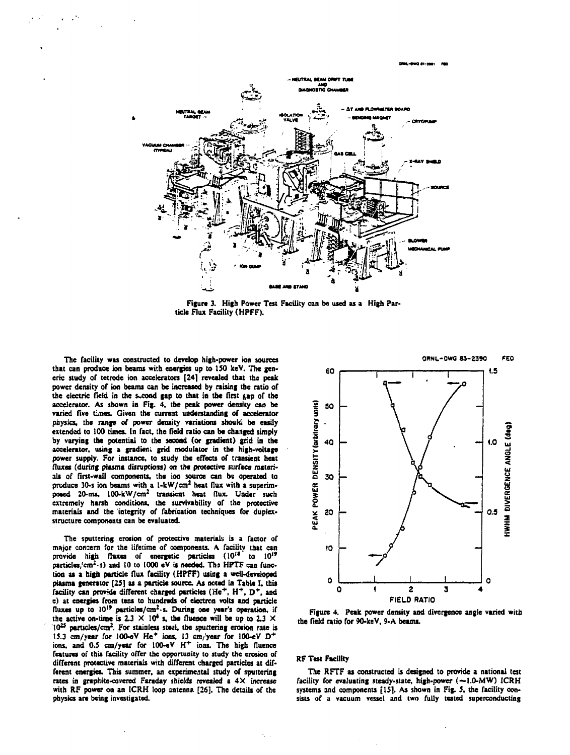

**Figure 3. High Power Test Facility can be used as a High Particle Flux Facility (HPFF).**

**The facility was constructed to develop high-power ion sources that can produce ion beams with energies up to ISO keV. The generic study of tetrode ion accelerators [24] revealed that the peak power density of ion beams can be increased by raising the ratio of** the electric field in the second gap to that in the first gap of the **accelerator. As shown in Fig. 4, the peak power density can be varied five** *times.* **Given the current understanding of accelerator physics, the range of power density variations should be easily extended to 100 times. In fact, the field ratio can be changed simply by varying the potential to the second (or gradient) grid in the accelerator, using a gradicn; grid modulator in the high-voltage power supply. For instance, to study the effects of transient heat fluxes (during plasma disruptions) on the protective surface materials of first-wall components, the ion source can be operated to produce 30-s ion beams with a 1-kW/cm<sup>1</sup> heat flux with a superimposed 20-ms, 100-kW/cm<sup>2</sup> transient heat flux. Under such extremely harsh conditions, the survivability of the protective materials and the integrity of fabrication techniques for duplexstructure components can be evaluated.**

**The sputtering erosion of protective material') is a factor of major concern for the lifetime of components. A facility that can** provide high fluxes of energetic particles (10<sup>18</sup> to 10<sup>19</sup> **particles/cm<sup>2</sup> -;) and iO to 1000 eV is needed. Ths HPTF can function as a high particle flux facility (HPFF) using a well-developed plasma generator (25]** *u* **a particle source. As noted in Table I. this facility can provide different charged particles (He\*, H\*, D\* , and e) at energies from tens to hundreds of electron volts and particle fluxes up to 10" particles/cm<sup>2</sup> -s. During one year's operation, if** the active on-time is  $2.3 \times 10^4$  s, the fluence will be up to  $2.3 \times$ **lO<sup>2</sup> \* particles/cm<sup>2</sup> . For stainless steel, the sputtering erosion rate is 15.3 cm/year for 100-eV** *He\** **ions, 13 cm/year for 100-eV D <sup>+</sup> ions, and 0.5 cm/year for 100-eV H\* ions. The high fluence features of this facility offer the opportunity to study the erosion of different protective materials with different charged particles at different energies. This summer, an experimental study of sputtering rates in graphite-covered Faraday shields revealed i 4X increase with RF power on an ICRH loop antenna [26]. The details of the physics arc being investigated.**



**Figure 4. Peak power density and divergence angle varied with the Held ratio for 90-keV, 9-A beams.**

## **RF Test Facility**

**The RFTF as constructed is designed to provide a national test facility for evaluating steady-state, high-power (—1.0-MW) ICRH systems and components [15]. As shown in Fig. 5, the facility consists of a vacuum vessel and two fully tested superconducting**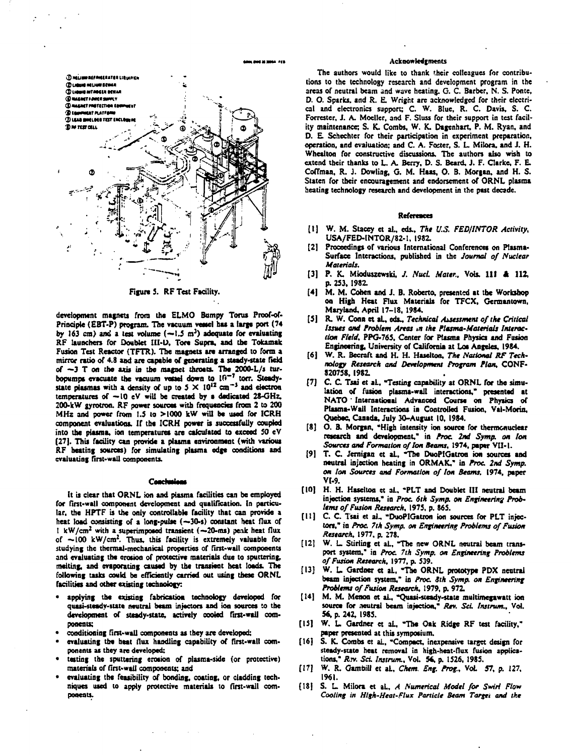

**Figure 5. RF Test Facility.** 

development magnets from the ELMO Bumpy Torus Proof-of-Principle (EBT-P) program. The vacuum vessel has a large port (74 **by 163 cm) ami a test volume (—1.5 m<sup>J</sup> ) adequate Tor evaluating RF launchers for Doublet III-L), Ton Supra, and the Tokamak** Fusion Test Reactor (TFTR). The magnets are arranged to form a **mirror ratio of 4.8 and are capable of generating a steady-state field of —3 T on the axis in the magnet throats. The 2000-L/s tur-bopumpt evacuate the vacuum vessel down to lO"<sup>r</sup> torr. Steadysute plasmas with a density of up to 5 X 10" cm"<sup>1</sup> and electron temperatures of —10 eV will be created by a dedicated 28-GHz,** 200-kW gyrotron. RF power sources with frequencies from 2 to 200 MHz and power from 1.5 to >1000 kW will be used for ICRH **component evaluations. If the ICRH power is successfully coupled into the plasma, ion temperatures are calculated to exceed 50 eV (27]. This facility can provide a plasma environment (with various RF beating sources) for simulating plasma edge conditions and evaluating first-wall components.**

## Conclusions

**It is clear that ORNL ion and plasma facilities can be employed** for first-wall component development and qualification. In particu**lar, the HPTF is the only controllable facility that can provide a heat load consisting of a long-pulse (—30-s) constant heat flux of t kW/cm<sup>2</sup> with a superimposed transient (— 20-ms) peak heat flux of —100 kW/cm<sup>2</sup> . Thus, this facility is extremely valuable for studying the thermal-mechanical properties of first-wall components and evaluating the erosion of protective materials due to sputtering, melting, and evaporating caused by the transient heat loads. The following tasks could be efficiently carried out using these ORNL facilities and other existing technology:**

- **applying the existing fabrication technology developed for quasi-stcady-uate neutral beam injectors and ion sources :o the development of steady-state, actively cooled first-wall components:**
- **conditioning first-wall components a\* they are developed;**
- **evaluating the heat flux handling capability of first-wall components as they are developed:**
- **testing the sputtering erosion of plasma-side (or protective) materials of first-wall components: and**
- **evaluating the feasibility of bonding, coating, or cladding techniques used to apply protective materials to first-wall components.**

#### **Acknowledgments**

**The authors would like to thank their colleagues for contributions to the technology research and development program in the areas of neutral beam and wuve heating. G. C. Barber, N. S. Pome, D. O. Sparks, and R. E. Wright are acknowledged for their electrical and electronics support; C. W. Blue, R. C. Davis, S. C. Forrester, J. A. Moeller, and F. SIuss for their support in test facility maintenance; S. K. Combs, W. K. Dagenhart, P. M. Ryan, and D.** *E.* **Schechter for their participation in experiment preparation, operation, and evaluation: and C. A. Foster, S. L. Milora, and J. H. Whealton for constructive discussions. The authors also wish to extend their thanks to L. A. Berry, D. S. Beard, J. F. Clarke, F. E Coffman, R. J. Oowling, G. M. Haas, O. B. Morgan, and H. S. Staten for their encouragement and endorsement of ORNL plasma heating technology research and development in the past decade.**

#### **References**

- **[1] W. M. Stacey et al., eds..** *The U.S. FED/INTOR Activity,* **USA/FED-lNTOR/82-1, I98Z**
- **[2] Proceedings of various International Conferences on Plasma-Surface Interactions, published in the** *Journal of Nuclear Materials.*
- **[3] P. K. Mioduuewski, /.** *NucL Naur..* **Vois. HI A 112, p. 253,1982.**
- **[4] M. M. Cohen and J. B. Roberto, presented at the Workshop oo High Heat Flux Materials for TFCX, Germantown, Maryland, April 17-18. 1984.**
- **[5] R. W. Conn et aL, eds..** *Technical Assessment of the Critical Issues and Problem Areas tit tht Plasma-Materials Interaction Field,* **PPG-76J, Center for Plasma Physics and Fusion Engineering, University of California at Los Angeles, 1984.**
- **(6] W. R. Becraft and K. H. Haseiton,** *The National RF Technology Research and Development Program Plan,* **CONF-8207S8, I98Z**
- **[7] C. C. Tsai et aL, "Testing capability at ORNL for the simu**lation of fusion plasma-wall interactions," presented at **NATO' International Advanced Course on Physics of Plasma-Wall Interactions in Controlled Fusion, Val-Morin, Quebec Canada, July 30-August 10, 1984.**
- **[8] O. B. Morgan, "High intensity ion source for thermonuclear research and development," in** *Proc 2nd Symp. on Ion Sources and Formation of Ion Beams,* **1974, paper VII-1.**
- **[9] T. C. Jemigan et aL, "The DuoPIGatron ion sources and neutral injection heating in ORMAK," in** *Proc 2nd Symp. on Ion Sources and Formation of Ion Beams.* **1974, paper Vt-9.**
- **[10] H. H. Haseiton et aL. "PLT and Doublet III neutral beam injection systems," in** *Proc 6th Symp. on Engineering Problems of Fusion Research,* **1975, p. 865.**
- **[11] C. C. Tsai et al., "DuoPIGatron ion sources for PLT injectors," in** *Proc. 7th Symp. on Engineering Problems of Fusion Research,* **1977. p. 278.**
- **[12] W. L Stirling et aL. "The new ORNL neutral beam transport system." in** *Proc 7th Symp. on Engineering Problems of Fusion Research,* **1977, p. 539.**
- **[13] W. L Gardner et aL, "The ORNL prototype PDX neutral beam injection system," in** *Proc 8th Symp. on Engineering Problems of Fusion Research,* **1979, p. 972.**
- **[14] M. M. Menon et aL, "Quasi-stcady-state multimegawatt ion source for neutral beam injection,"** *Rev. Sci. Instrum.,* **Vol. 56, p. 242, 1985.**
- **[IS] W. L. Gardner et aL, "The Oak Ridge RF test facility," paper presented at this symposium.**
- **[16] S. K. Combs et aL, "Compact, inexpensive target design for steady-state heat removal in high-heat-flux fusion applications,"** *Rjy. Sci Instrum.,* **VoL 5\*. p. 1526, 1985.**
- **[17] W. R. Gambill et aL,** *Ckem, Eng. Prog., VoL* **57, p. 127, 1961.**
- **(18] S. L. Milora et aL,** *A Numerical Model for Swiri Flow Cooling in High-Heat-Flux Panicle Beam Target and the*